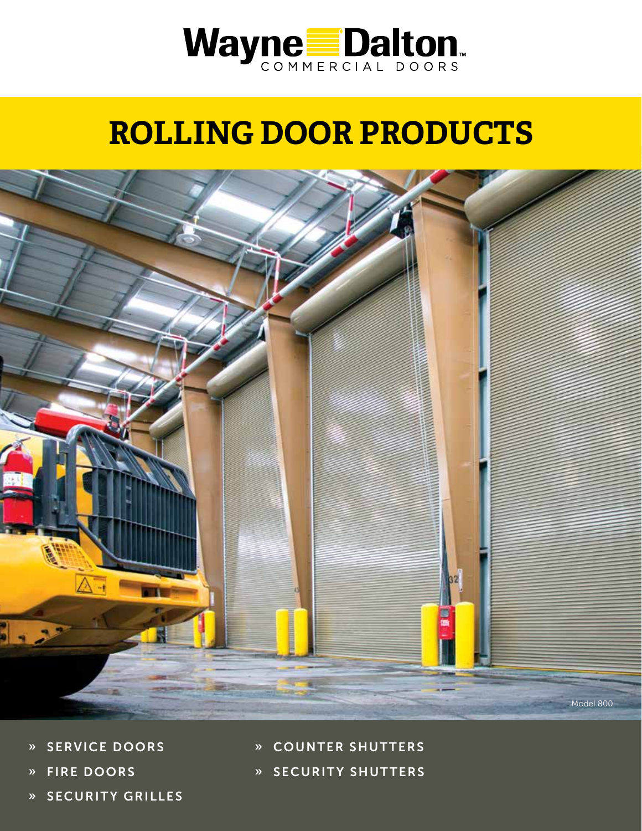



- » SERVICE DOORS
- » FIRE DOORS
- » SECURITY GRILLES
- » COUNTER SHUTTERS
- » SECURITY SHUTTERS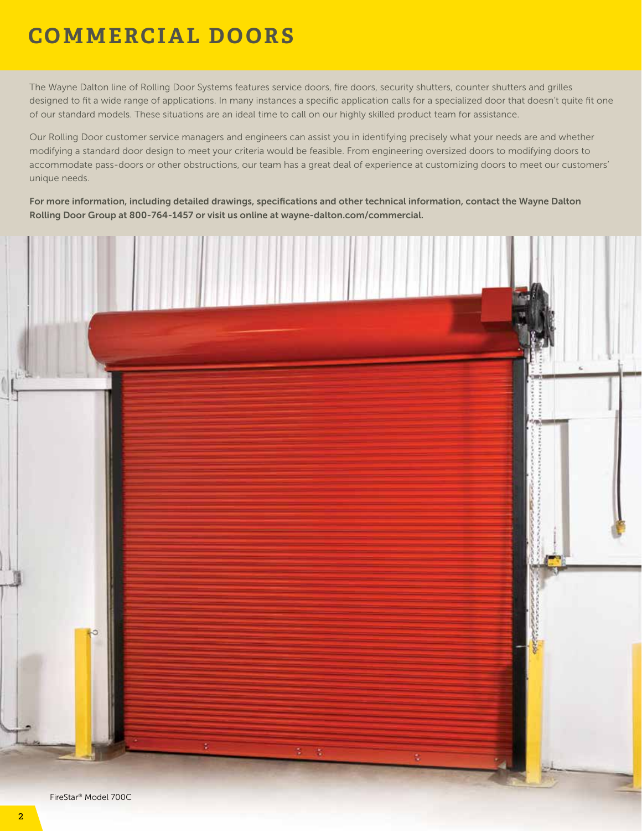### **COMMERCIAL DOORS**

The Wayne Dalton line of Rolling Door Systems features service doors, fire doors, security shutters, counter shutters and grilles designed to fit a wide range of applications. In many instances a specific application calls for a specialized door that doesn't quite fit one of our standard models. These situations are an ideal time to call on our highly skilled product team for assistance.

Our Rolling Door customer service managers and engineers can assist you in identifying precisely what your needs are and whether modifying a standard door design to meet your criteria would be feasible. From engineering oversized doors to modifying doors to accommodate pass-doors or other obstructions, our team has a great deal of experience at customizing doors to meet our customers' unique needs.

For more information, including detailed drawings, specifications and other technical information, contact the Wayne Dalton Rolling Door Group at 800-764-1457 or visit us online at wayne-dalton.com/commercial.

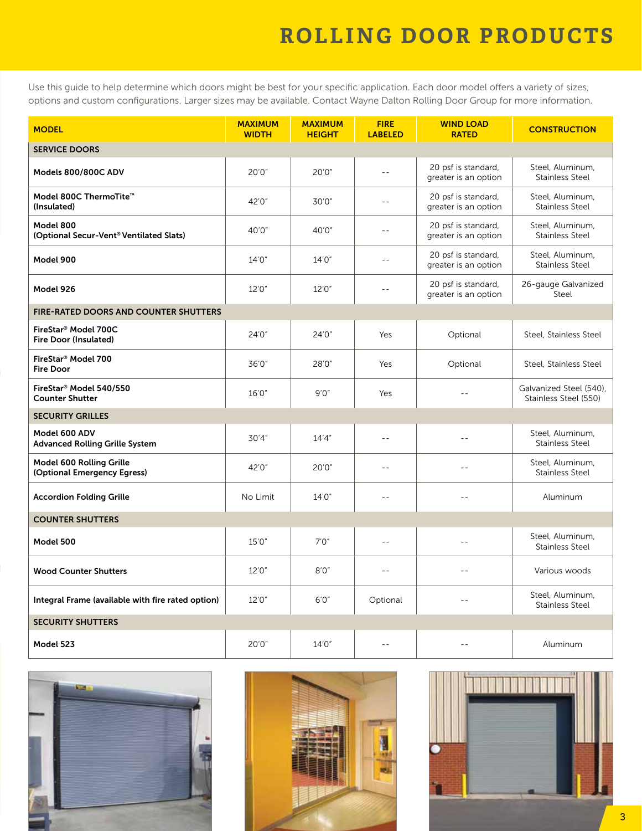Use this guide to help determine which doors might be best for your specific application. Each door model offers a variety of sizes, options and custom configurations. Larger sizes may be available. Contact Wayne Dalton Rolling Door Group for more information.

| <b>MODEL</b>                                                     | <b>MAXIMUM</b><br><b>WIDTH</b> | <b>MAXIMUM</b><br><b>HEIGHT</b> | <b>FIRE</b><br><b>LABELED</b> | <b>WIND LOAD</b><br><b>RATED</b>            | <b>CONSTRUCTION</b>                              |
|------------------------------------------------------------------|--------------------------------|---------------------------------|-------------------------------|---------------------------------------------|--------------------------------------------------|
| <b>SERVICE DOORS</b>                                             |                                |                                 |                               |                                             |                                                  |
| Models 800/800C ADV                                              | 20'0"                          | 20'0''                          | $=$ $-$                       | 20 psf is standard,<br>greater is an option | Steel, Aluminum,<br><b>Stainless Steel</b>       |
| Model 800C ThermoTite <sup>™</sup><br>(Insulated)                | 42'0"                          | 30'0"                           | $=$ $-$                       | 20 psf is standard,<br>greater is an option | Steel, Aluminum,<br><b>Stainless Steel</b>       |
| Model 800<br>(Optional Secur-Vent <sup>®</sup> Ventilated Slats) | 40'0"                          | 40'0"                           | $=$ $-$                       | 20 psf is standard,<br>greater is an option | Steel, Aluminum,<br><b>Stainless Steel</b>       |
| Model 900                                                        | 14'0"                          | 14'0''                          | $\frac{1}{2}$                 | 20 psf is standard,<br>greater is an option | Steel, Aluminum,<br><b>Stainless Steel</b>       |
| Model 926                                                        | 12'0"                          | 12'0"                           | $\sim$                        | 20 psf is standard,<br>greater is an option | 26-gauge Galvanized<br>Steel                     |
| <b>FIRE-RATED DOORS AND COUNTER SHUTTERS</b>                     |                                |                                 |                               |                                             |                                                  |
| FireStar® Model 700C<br>Fire Door (Insulated)                    | 24'0"                          | 24'0"                           | Yes                           | Optional                                    | Steel, Stainless Steel                           |
| FireStar <sup>®</sup> Model 700<br><b>Fire Door</b>              | 36'0"                          | 28'0"                           | Yes                           | Optional                                    | Steel, Stainless Steel                           |
| FireStar <sup>®</sup> Model 540/550<br><b>Counter Shutter</b>    | 16'0"                          | 9'0''                           | Yes                           | $-$                                         | Galvanized Steel (540),<br>Stainless Steel (550) |
| <b>SECURITY GRILLES</b>                                          |                                |                                 |                               |                                             |                                                  |
| Model 600 ADV<br><b>Advanced Rolling Grille System</b>           | 30'4"                          | 14'4''                          | $=$ $=$                       | $\sim$ $\sim$                               | Steel, Aluminum,<br><b>Stainless Steel</b>       |
| Model 600 Rolling Grille<br>(Optional Emergency Egress)          | 42'0"                          | 20'0"                           | $=$ $-$                       | $=$                                         | Steel, Aluminum,<br><b>Stainless Steel</b>       |
| <b>Accordion Folding Grille</b>                                  | No Limit                       | 14'0"                           | $=$ $-$                       |                                             | Aluminum                                         |
| <b>COUNTER SHUTTERS</b>                                          |                                |                                 |                               |                                             |                                                  |
| Model 500                                                        | 15'0"                          | 7'0''                           | $=$ $-$                       | $-$                                         | Steel, Aluminum,<br><b>Stainless Steel</b>       |
| <b>Wood Counter Shutters</b>                                     | 12'0"                          | 8'0''                           | $\sim$ $\sim$                 | $\sim$ $\sim$                               | Various woods                                    |
| Integral Frame (available with fire rated option)                | 12'0"                          | 6'0''                           | Optional                      | $\sim$ $\sim$                               | Steel, Aluminum,<br><b>Stainless Steel</b>       |
| <b>SECURITY SHUTTERS</b>                                         |                                |                                 |                               |                                             |                                                  |
| Model 523                                                        | 20'0''                         | 14'0"                           |                               |                                             | Aluminum                                         |





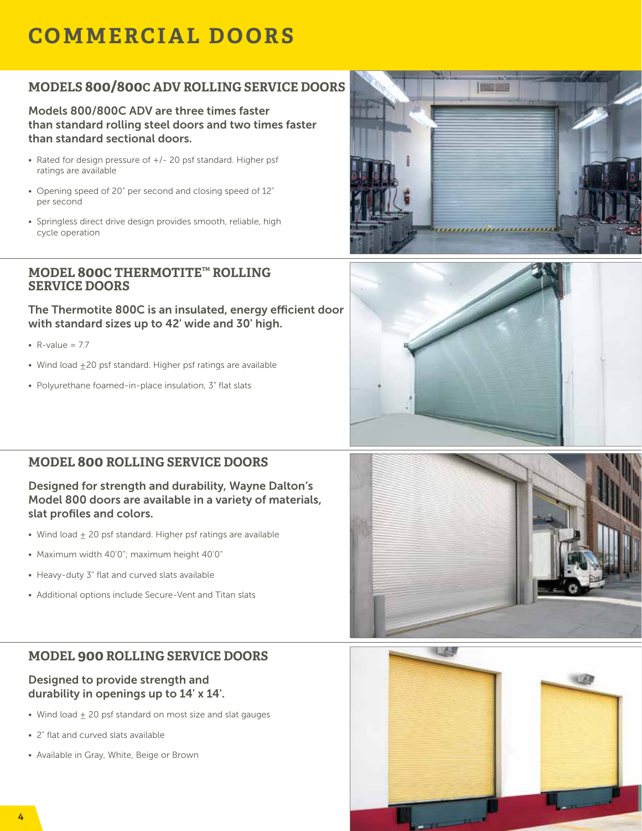### **COMMERCIAL DOORS**

#### **MODELS 800/800C ADV ROLLING SERVICE DOORS**

Models 800/800C ADV are three times faster than standard rolling steel doors and two times faster than standard sectional doors.

- Rated for design pressure of +/- 20 psf standard. Higher psf ratings are available
- Opening speed of 20" per second and closing speed of 12" per second
- Springless direct drive design provides smooth, reliable, high cycle operation

#### **MODEL 800C THERMOTITE™ ROLLING SERVICE DOORS**

The Thermotite 800C is an insulated, energy efficient door with standard sizes up to 42' wide and 30' high.

- $R$ -value = 7.7
- Wind load +20 psf standard. Higher psf ratings are available
- Polyurethane foamed-in-place insulation, 3" flat slats





#### **MODEL 800 ROLLING SERVICE DOORS**

Designed for strength and durability, Wayne Dalton's Model 800 doors are available in a variety of materials, slat profiles and colors.

- Wind load + 20 psf standard. Higher psf ratings are available
- Maximum width 40'0"; maximum height 40'0"
- Heavy-duty 3" flat and curved slats available
- Additional options include Secure-Vent and Titan slats

#### **MODEL 900 ROLLING SERVICE DOORS**

#### Designed to provide strength and durability in openings up to 14' x 14'.

- Wind load + 20 psf standard on most size and slat gauges
- 2" flat and curved slats available
- Available in Gray, White, Beige or Brown



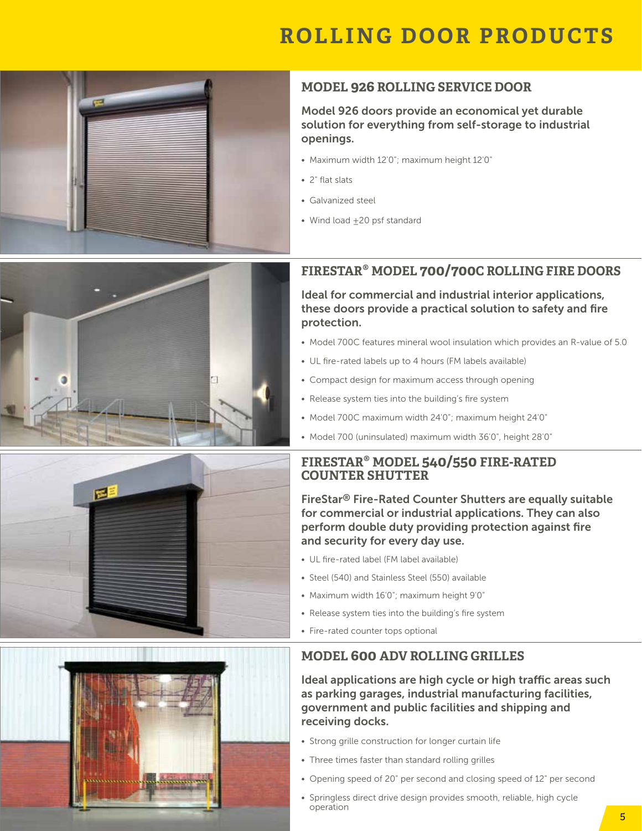

#### **MODEL 926 ROLLING SERVICE DOOR**

Model 926 doors provide an economical yet durable solution for everything from self-storage to industrial openings.

- Maximum width 12'0"; maximum height 12'0"
- 2" flat slats
- Galvanized steel
- Wind load  $\pm 20$  psf standard

#### **FIRESTAR® MODEL 700/700C ROLLING FIRE DOORS**

Ideal for commercial and industrial interior applications, these doors provide a practical solution to safety and fire protection.

- Model 700C features mineral wool insulation which provides an R-value of 5.0
- UL fire-rated labels up to 4 hours (FM labels available)
- Compact design for maximum access through opening
- Release system ties into the building's fire system
- Model 700C maximum width 24'0"; maximum height 24'0"
- Model 700 (uninsulated) maximum width 36'0", height 28'0"

#### **FIRESTAR® MODEL 540/550 FIRE-RATED COUNTER SHUTTER**

FireStar® Fire-Rated Counter Shutters are equally suitable for commercial or industrial applications. They can also perform double duty providing protection against fire and security for every day use.

- UL fire-rated label (FM label available)
- Steel (540) and Stainless Steel (550) available
- Maximum width 16'0"; maximum height 9'0"
- Release system ties into the building's fire system
- Fire-rated counter tops optional

#### **MODEL 600 ADV ROLLING GRILLES**

Ideal applications are high cycle or high traffic areas such as parking garages, industrial manufacturing facilities, government and public facilities and shipping and receiving docks.

- Strong grille construction for longer curtain life
- Three times faster than standard rolling grilles
- Opening speed of 20" per second and closing speed of 12" per second
- Springless direct drive design provides smooth, reliable, high cycle operation





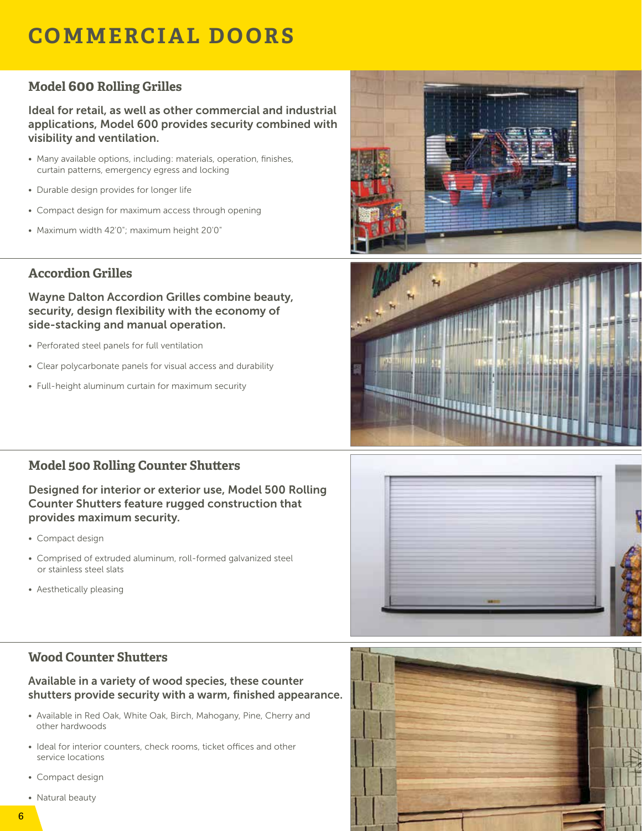### **COMMERCIAL DOORS**

#### **Model 600 Rolling Grilles**

Ideal for retail, as well as other commercial and industrial applications, Model 600 provides security combined with visibility and ventilation.

- Many available options, including: materials, operation, finishes, curtain patterns, emergency egress and locking
- Durable design provides for longer life
- Compact design for maximum access through opening
- Maximum width 42'0"; maximum height 20'0"

### **Accordion Grilles**

Wayne Dalton Accordion Grilles combine beauty, security, design flexibility with the economy of side-stacking and manual operation.

- Perforated steel panels for full ventilation
- Clear polycarbonate panels for visual access and durability
- Full-height aluminum curtain for maximum security





### **Model 500 Rolling Counter Shutters**

Designed for interior or exterior use, Model 500 Rolling Counter Shutters feature rugged construction that provides maximum security.

- Compact design
- Comprised of extruded aluminum, roll-formed galvanized steel or stainless steel slats
- Aesthetically pleasing



### **Wood Counter Shutters**

#### Available in a variety of wood species, these counter shutters provide security with a warm, finished appearance.

- Available in Red Oak, White Oak, Birch, Mahogany, Pine, Cherry and other hardwoods
- Ideal for interior counters, check rooms, ticket offices and other service locations
- Compact design
- Natural beauty

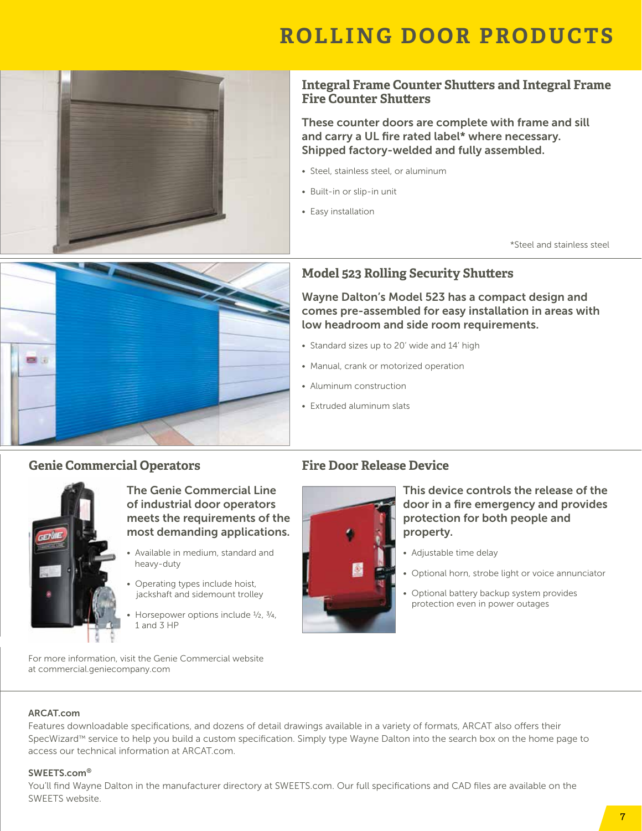

#### **Integral Frame Counter Shutters and Integral Frame Fire Counter Shutters**

These counter doors are complete with frame and sill and carry a UL fire rated label\* where necessary. Shipped factory-welded and fully assembled.

Wayne Dalton's Model 523 has a compact design and comes pre-assembled for easy installation in areas with

• Steel, stainless steel, or aluminum

**Model 523 Rolling Security Shutters**

• Standard sizes up to 20' wide and 14' high

• Manual, crank or motorized operation

**Fire Door Release Device**

• Aluminum construction • Extruded aluminum slats

low headroom and side room requirements.

- Built-in or slip-in unit
- Easy installation

\*Steel and stainless steel



#### **Genie Commercial Operators**



The Genie Commercial Line of industrial door operators meets the requirements of the most demanding applications.

- Available in medium, standard and heavy-duty
- Operating types include hoist, jackshaft and sidemount trolley
- Horsepower options include  $\frac{1}{2}$ ,  $\frac{3}{4}$ , 1 and 3 HP



This device controls the release of the door in a fire emergency and provides protection for both people and property.

- Adjustable time delay
- Optional horn, strobe light or voice annunciator
- Optional battery backup system provides protection even in power outages

For more information, visit the Genie Commercial website at commercial.geniecompany.com

#### ARCAT.com

Features downloadable specifications, and dozens of detail drawings available in a variety of formats, ARCAT also offers their SpecWizard™ service to help you build a custom specification. Simply type Wayne Dalton into the search box on the home page to access our technical information at ARCAT.com.

#### SWEETS.com®

You'll find Wayne Dalton in the manufacturer directory at SWEETS.com. Our full specifications and CAD files are available on the SWEETS website.